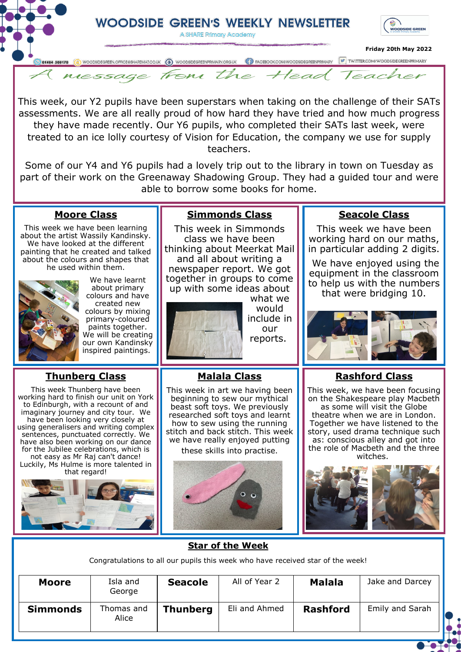

This week, our Y2 pupils have been superstars when taking on the challenge of their SATs assessments. We are all really proud of how hard they have tried and how much progress they have made recently. Our Y6 pupils, who completed their SATs last week, were treated to an ice lolly courtesy of Vision for Education, the company we use for supply teachers.

Some of our Y4 and Y6 pupils had a lovely trip out to the library in town on Tuesday as part of their work on the Greenaway Shadowing Group. They had a guided tour and were able to borrow some books for home.

#### **Moore Class**

This week we have been learning about the artist Wassily Kandinsky. We have looked at the different painting that he created and talked about the colours and shapes that he used within them.



We have learnt about primary colours and have created new colours by mixing primary-coloured paints together. We will be creating our own Kandinsky inspired paintings.

## **Thunberg Class**

This week Thunberg have been working hard to finish our unit on York to Edinburgh, with a recount of and imaginary journey and city tour. We have been looking very closely at using generalisers and writing complex sentences, punctuated correctly. We have also been working on our dance for the Jubilee celebrations, which is not easy as Mr Raj can't dance! Luckily, Ms Hulme is more talented in that regard!



# **Simmonds Class**

This week in Simmonds class we have been thinking about Meerkat Mail

and all about writing a newspaper report. We got together in groups to come up with some ideas about what we

**Malala Class** This week in art we having been beginning to sew our mythical beast soft toys. We previously researched soft toys and learnt how to sew using the running stitch and back stitch. This week we have really enjoyed putting these skills into practise.



reports.

## **Seacole Class**

This week we have been working hard on our maths, in particular adding 2 digits.

We have enjoyed using the equipment in the classroom to help us with the numbers that were bridging 10.



## **Rashford Class**

This week, we have been focusing on the Shakespeare play Macbeth as some will visit the Globe theatre when we are in London. Together we have listened to the story, used drama technique such as: conscious alley and got into the role of Macbeth and the three witches.



#### **Star of the Week**

Congratulations to all our pupils this week who have received star of the week!

| Moore           | Isla and<br>George  | <b>Seacole</b>  | All of Year 2 | <b>Malala</b>   | Jake and Darcey |
|-----------------|---------------------|-----------------|---------------|-----------------|-----------------|
| <b>Simmonds</b> | Thomas and<br>Alice | <b>Thunberg</b> | Eli and Ahmed | <b>Rashford</b> | Emily and Sarah |